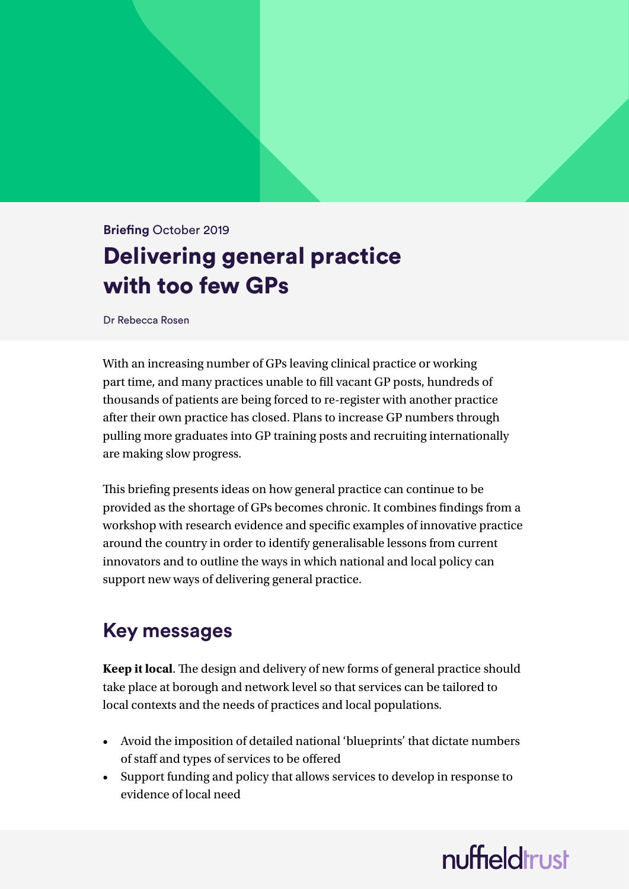### **Briefing** October 2019 Delivering general practice with too few GPs

Dr Rebecca Rosen

With an increasing number of GPs leaving clinical practice or working part time, and many practices unable to fill vacant GP posts, hundreds of thousands of patients are being forced to re-register with another practice after their own practice has closed. Plans to increase GP numbers through pulling more graduates into GP training posts and recruiting internationally are making slow progress.

This briefing presents ideas on how general practice can continue to be provided as the shortage of GPs becomes chronic. It combines findings from a workshop with research evidence and specific examples of innovative practice around the country in order to identify generalisable lessons from current innovators and to outline the ways in which national and local policy can support new ways of delivering general practice.

### **Key messages**

**Keep it local**. The design and delivery of new forms of general practice should take place at borough and network level so that services can be tailored to local contexts and the needs of practices and local populations.

- Avoid the imposition of detailed national 'blueprints' that dictate numbers of staff and types of services to be offered
- Support funding and policy that allows services to develop in response to evidence of local need

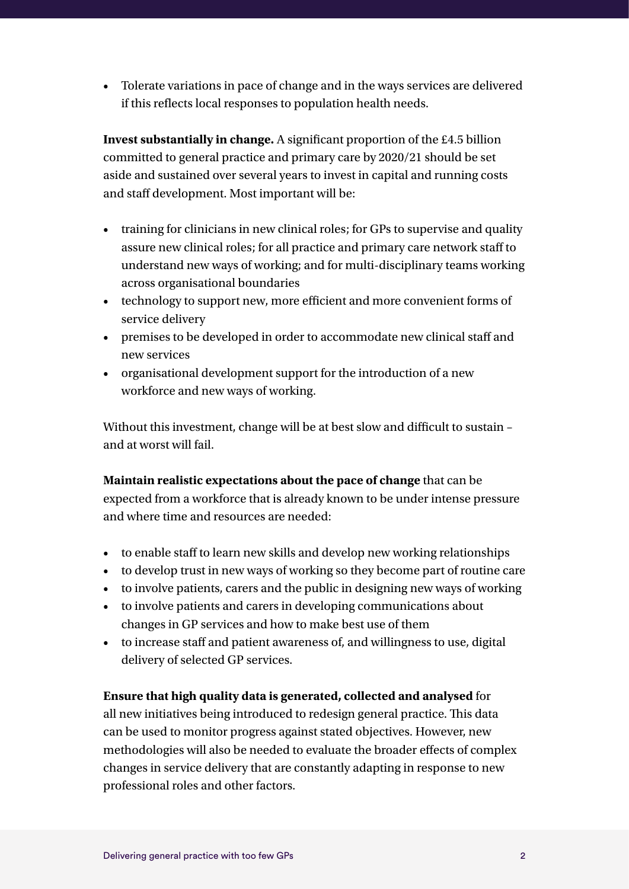• Tolerate variations in pace of change and in the ways services are delivered if this reflects local responses to population health needs.

**Invest substantially in change.** A significant proportion of the £4.5 billion committed to general practice and primary care by 2020/21 should be set aside and sustained over several years to invest in capital and running costs and staff development. Most important will be:

- training for clinicians in new clinical roles; for GPs to supervise and quality assure new clinical roles; for all practice and primary care network staff to understand new ways of working; and for multi-disciplinary teams working across organisational boundaries
- technology to support new, more efficient and more convenient forms of service delivery
- premises to be developed in order to accommodate new clinical staff and new services
- organisational development support for the introduction of a new workforce and new ways of working.

Without this investment, change will be at best slow and difficult to sustain – and at worst will fail.

**Maintain realistic expectations about the pace of change** that can be expected from a workforce that is already known to be under intense pressure and where time and resources are needed:

- to enable staff to learn new skills and develop new working relationships
- to develop trust in new ways of working so they become part of routine care
- to involve patients, carers and the public in designing new ways of working
- to involve patients and carers in developing communications about changes in GP services and how to make best use of them
- to increase staff and patient awareness of, and willingness to use, digital delivery of selected GP services.

#### **Ensure that high quality data is generated, collected and analysed** for

all new initiatives being introduced to redesign general practice. This data can be used to monitor progress against stated objectives. However, new methodologies will also be needed to evaluate the broader effects of complex changes in service delivery that are constantly adapting in response to new professional roles and other factors.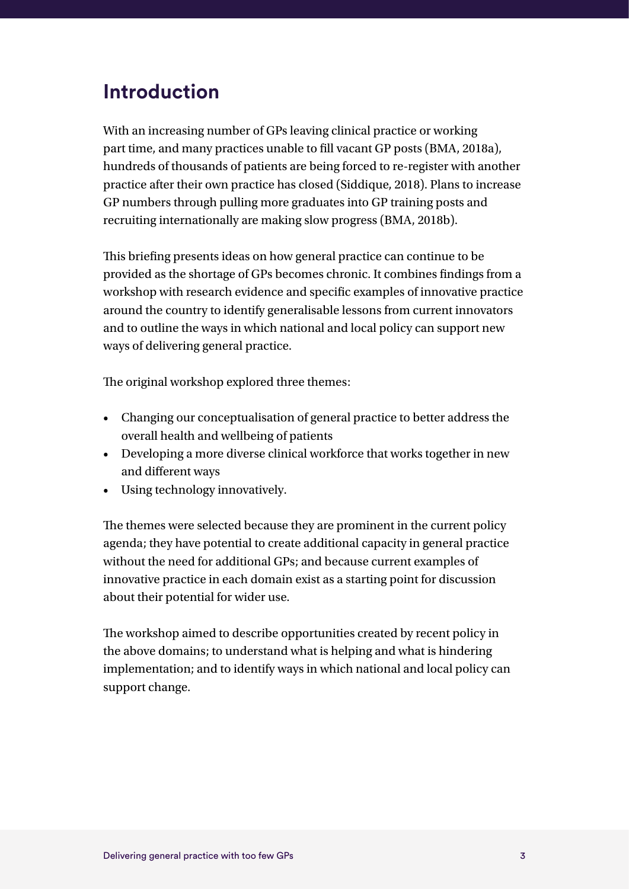### **Introduction**

With an increasing number of GPs leaving clinical practice or working part time, and many practices unable to fill vacant GP posts (BMA, 2018a), hundreds of thousands of patients are being forced to re-register with another practice after their own practice has closed (Siddique, 2018). Plans to increase GP numbers through pulling more graduates into GP training posts and recruiting internationally are making slow progress (BMA, 2018b).

This briefing presents ideas on how general practice can continue to be provided as the shortage of GPs becomes chronic. It combines findings from a workshop with research evidence and specific examples of innovative practice around the country to identify generalisable lessons from current innovators and to outline the ways in which national and local policy can support new ways of delivering general practice.

The original workshop explored three themes:

- Changing our conceptualisation of general practice to better address the overall health and wellbeing of patients
- Developing a more diverse clinical workforce that works together in new and different ways
- Using technology innovatively.

The themes were selected because they are prominent in the current policy agenda; they have potential to create additional capacity in general practice without the need for additional GPs; and because current examples of innovative practice in each domain exist as a starting point for discussion about their potential for wider use.

The workshop aimed to describe opportunities created by recent policy in the above domains; to understand what is helping and what is hindering implementation; and to identify ways in which national and local policy can support change.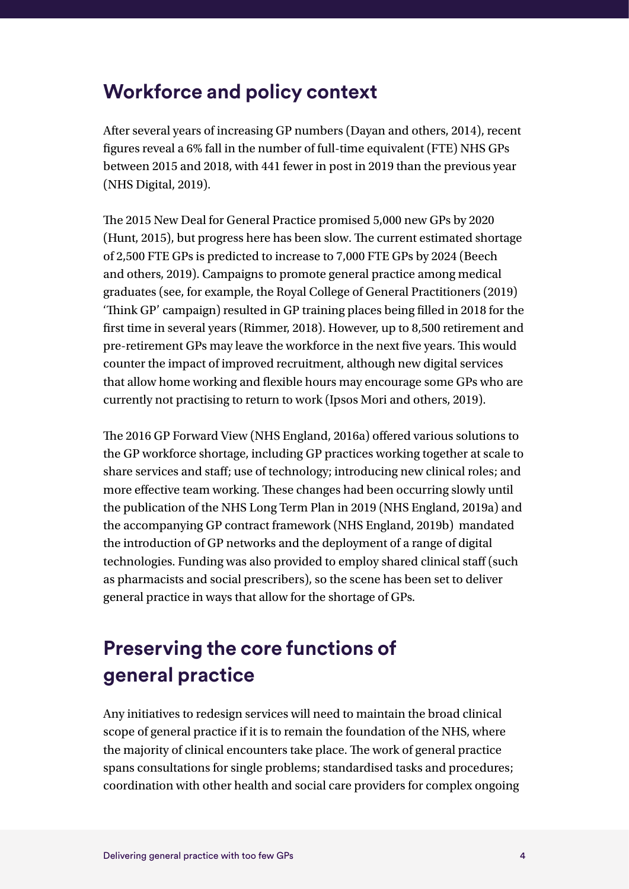### **Workforce and policy context**

After several years of increasing GP numbers (Dayan and others, 2014), recent figures reveal a 6% fall in the number of full-time equivalent (FTE) NHS GPs between 2015 and 2018, with 441 fewer in post in 2019 than the previous year (NHS Digital, 2019).

The 2015 New Deal for General Practice promised 5,000 new GPs by 2020 (Hunt, 2015), but progress here has been slow. The current estimated shortage of 2,500 FTE GPs is predicted to increase to 7,000 FTE GPs by 2024 (Beech and others, 2019). Campaigns to promote general practice among medical graduates (see, for example, the Royal College of General Practitioners (2019) 'Think GP' campaign) resulted in GP training places being filled in 2018 for the first time in several years (Rimmer, 2018). However, up to 8,500 retirement and pre-retirement GPs may leave the workforce in the next five years. This would counter the impact of improved recruitment, although new digital services that allow home working and flexible hours may encourage some GPs who are currently not practising to return to work (Ipsos Mori and others, 2019).

The 2016 GP Forward View (NHS England, 2016a) offered various solutions to the GP workforce shortage, including GP practices working together at scale to share services and staff; use of technology; introducing new clinical roles; and more effective team working. These changes had been occurring slowly until the publication of the NHS Long Term Plan in 2019 (NHS England, 2019a) and the accompanying GP contract framework (NHS England, 2019b) mandated the introduction of GP networks and the deployment of a range of digital technologies. Funding was also provided to employ shared clinical staff (such as pharmacists and social prescribers), so the scene has been set to deliver general practice in ways that allow for the shortage of GPs.

### **Preserving the core functions of general practice**

Any initiatives to redesign services will need to maintain the broad clinical scope of general practice if it is to remain the foundation of the NHS, where the majority of clinical encounters take place. The work of general practice spans consultations for single problems; standardised tasks and procedures; coordination with other health and social care providers for complex ongoing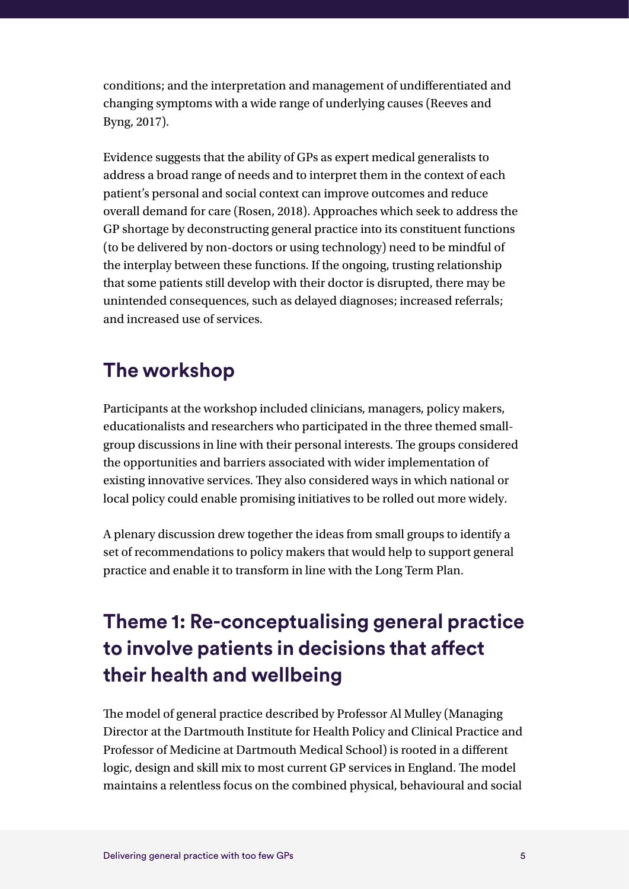conditions; and the interpretation and management of undifferentiated and changing symptoms with a wide range of underlying causes (Reeves and Byng, 2017).

Evidence suggests that the ability of GPs as expert medical generalists to address a broad range of needs and to interpret them in the context of each patient's personal and social context can improve outcomes and reduce overall demand for care (Rosen, 2018). Approaches which seek to address the GP shortage by deconstructing general practice into its constituent functions (to be delivered by non-doctors or using technology) need to be mindful of the interplay between these functions. If the ongoing, trusting relationship that some patients still develop with their doctor is disrupted, there may be unintended consequences, such as delayed diagnoses; increased referrals; and increased use of services.

### **The workshop**

Participants at the workshop included clinicians, managers, policy makers, educationalists and researchers who participated in the three themed smallgroup discussions in line with their personal interests. The groups considered the opportunities and barriers associated with wider implementation of existing innovative services. They also considered ways in which national or local policy could enable promising initiatives to be rolled out more widely.

A plenary discussion drew together the ideas from small groups to identify a set of recommendations to policy makers that would help to support general practice and enable it to transform in line with the Long Term Plan.

## **Theme 1: Re-conceptualising general practice to involve patients in decisions that affect their health and wellbeing**

The model of general practice described by Professor Al Mulley (Managing Director at the Dartmouth Institute for Health Policy and Clinical Practice and Professor of Medicine at Dartmouth Medical School) is rooted in a different logic, design and skill mix to most current GP services in England. The model maintains a relentless focus on the combined physical, behavioural and social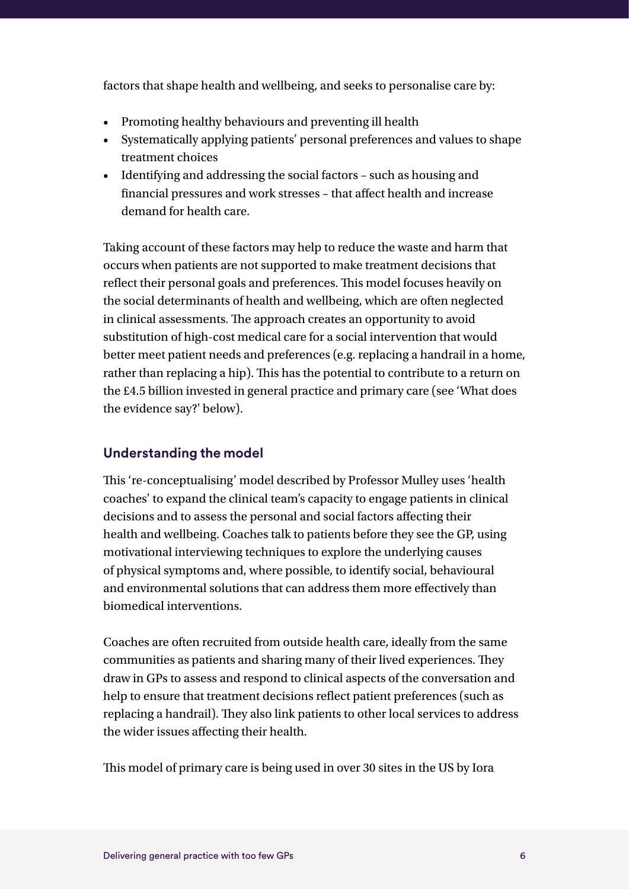factors that shape health and wellbeing, and seeks to personalise care by:

- Promoting healthy behaviours and preventing ill health
- Systematically applying patients' personal preferences and values to shape treatment choices
- Identifying and addressing the social factors such as housing and financial pressures and work stresses – that affect health and increase demand for health care.

Taking account of these factors may help to reduce the waste and harm that occurs when patients are not supported to make treatment decisions that reflect their personal goals and preferences. This model focuses heavily on the social determinants of health and wellbeing, which are often neglected in clinical assessments. The approach creates an opportunity to avoid substitution of high-cost medical care for a social intervention that would better meet patient needs and preferences (e.g. replacing a handrail in a home, rather than replacing a hip). This has the potential to contribute to a return on the £4.5 billion invested in general practice and primary care (see 'What does the evidence say?' below).

#### **Understanding the model**

This 're-conceptualising' model described by Professor Mulley uses 'health coaches' to expand the clinical team's capacity to engage patients in clinical decisions and to assess the personal and social factors affecting their health and wellbeing. Coaches talk to patients before they see the GP, using motivational interviewing techniques to explore the underlying causes of physical symptoms and, where possible, to identify social, behavioural and environmental solutions that can address them more effectively than biomedical interventions.

Coaches are often recruited from outside health care, ideally from the same communities as patients and sharing many of their lived experiences. They draw in GPs to assess and respond to clinical aspects of the conversation and help to ensure that treatment decisions reflect patient preferences (such as replacing a handrail). They also link patients to other local services to address the wider issues affecting their health.

This model of primary care is being used in over 30 sites in the US by Iora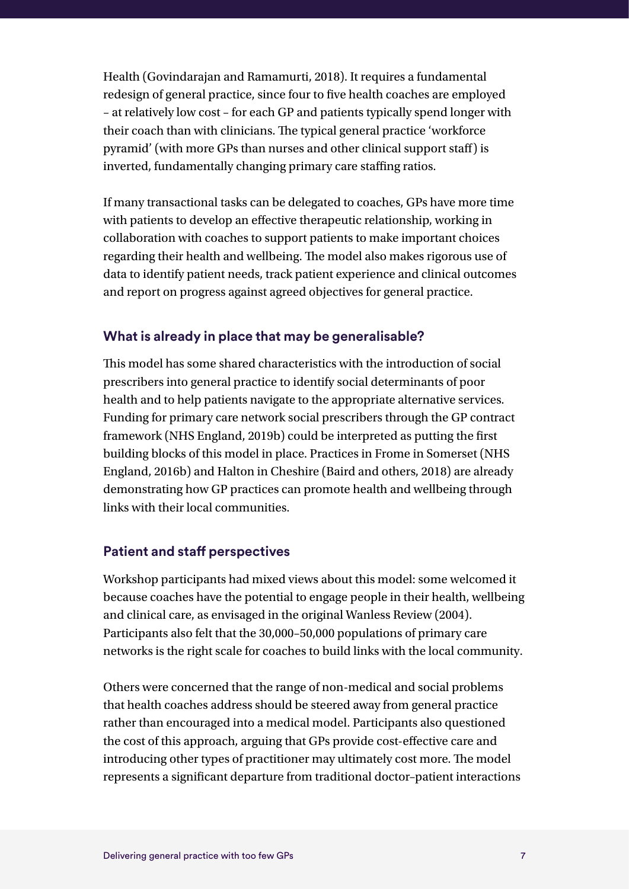Health (Govindarajan and Ramamurti, 2018). It requires a fundamental redesign of general practice, since four to five health coaches are employed – at relatively low cost – for each GP and patients typically spend longer with their coach than with clinicians. The typical general practice 'workforce pyramid' (with more GPs than nurses and other clinical support staff) is inverted, fundamentally changing primary care staffing ratios.

If many transactional tasks can be delegated to coaches, GPs have more time with patients to develop an effective therapeutic relationship, working in collaboration with coaches to support patients to make important choices regarding their health and wellbeing. The model also makes rigorous use of data to identify patient needs, track patient experience and clinical outcomes and report on progress against agreed objectives for general practice.

#### **What is already in place that may be generalisable?**

This model has some shared characteristics with the introduction of social prescribers into general practice to identify social determinants of poor health and to help patients navigate to the appropriate alternative services. Funding for primary care network social prescribers through the GP contract framework (NHS England, 2019b) could be interpreted as putting the first building blocks of this model in place. Practices in Frome in Somerset (NHS England, 2016b) and Halton in Cheshire (Baird and others, 2018) are already demonstrating how GP practices can promote health and wellbeing through links with their local communities.

#### **Patient and staff perspectives**

Workshop participants had mixed views about this model: some welcomed it because coaches have the potential to engage people in their health, wellbeing and clinical care, as envisaged in the original Wanless Review (2004). Participants also felt that the 30,000–50,000 populations of primary care networks is the right scale for coaches to build links with the local community.

Others were concerned that the range of non-medical and social problems that health coaches address should be steered away from general practice rather than encouraged into a medical model. Participants also questioned the cost of this approach, arguing that GPs provide cost-effective care and introducing other types of practitioner may ultimately cost more. The model represents a significant departure from traditional doctor–patient interactions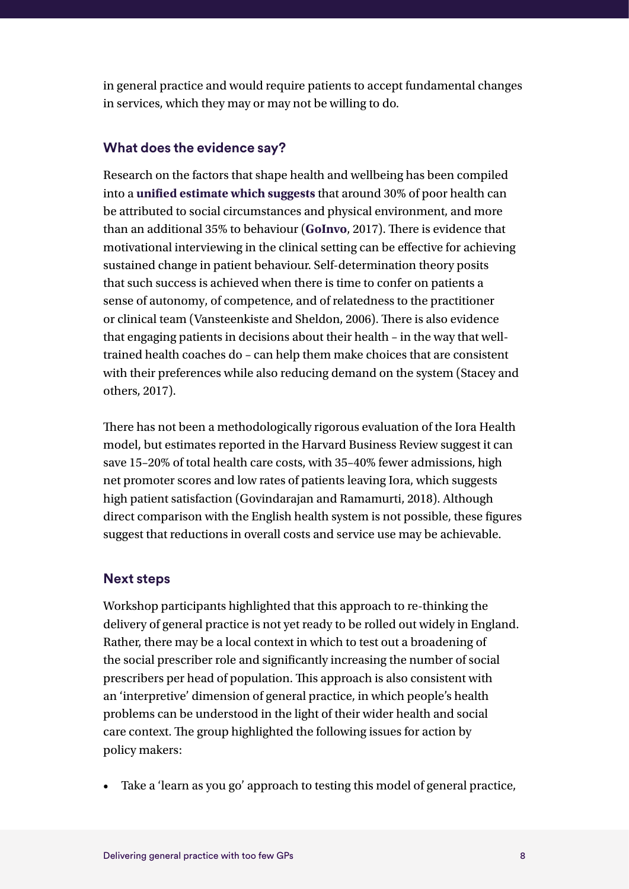in general practice and would require patients to accept fundamental changes in services, which they may or may not be willing to do.

#### **What does the evidence say?**

Research on the factors that shape health and wellbeing has been compiled into a **[unified estimate which suggests](https://www.goinvo.com/vision/determinants-of-health/)** that around 30% of poor health can be attributed to social circumstances and physical environment, and more than an additional 35% to behaviour (**[GoInvo](https://www.goinvo.com/vision/determinants-of-health/)**, 2017). There is evidence that motivational interviewing in the clinical setting can be effective for achieving sustained change in patient behaviour. Self-determination theory posits that such success is achieved when there is time to confer on patients a sense of autonomy, of competence, and of relatedness to the practitioner or clinical team (Vansteenkiste and Sheldon, 2006). There is also evidence that engaging patients in decisions about their health – in the way that welltrained health coaches do – can help them make choices that are consistent with their preferences while also reducing demand on the system (Stacey and others, 2017).

There has not been a methodologically rigorous evaluation of the Iora Health model, but estimates reported in the Harvard Business Review suggest it can save 15–20% of total health care costs, with 35–40% fewer admissions, high net promoter scores and low rates of patients leaving Iora, which suggests high patient satisfaction (Govindarajan and Ramamurti, 2018). Although direct comparison with the English health system is not possible, these figures suggest that reductions in overall costs and service use may be achievable.

#### **Next steps**

Workshop participants highlighted that this approach to re-thinking the delivery of general practice is not yet ready to be rolled out widely in England. Rather, there may be a local context in which to test out a broadening of the social prescriber role and significantly increasing the number of social prescribers per head of population. This approach is also consistent with an 'interpretive' dimension of general practice, in which people's health problems can be understood in the light of their wider health and social care context. The group highlighted the following issues for action by policy makers:

• Take a 'learn as you go' approach to testing this model of general practice,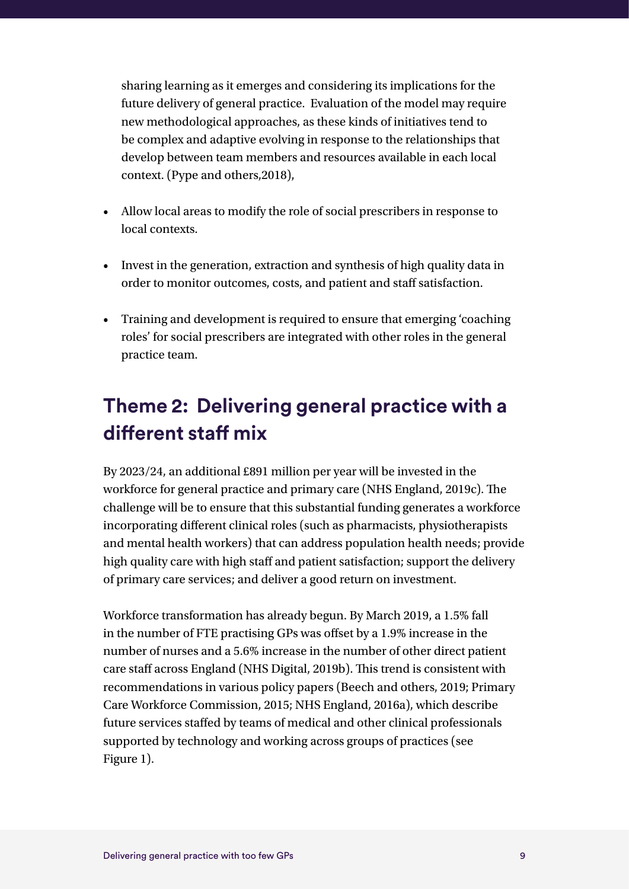sharing learning as it emerges and considering its implications for the future delivery of general practice. Evaluation of the model may require new methodological approaches, as these kinds of initiatives tend to be complex and adaptive evolving in response to the relationships that develop between team members and resources available in each local context. (Pype and others,2018),

- Allow local areas to modify the role of social prescribers in response to local contexts.
- Invest in the generation, extraction and synthesis of high quality data in order to monitor outcomes, costs, and patient and staff satisfaction.
- Training and development is required to ensure that emerging 'coaching roles' for social prescribers are integrated with other roles in the general practice team.

### **Theme 2: Delivering general practice with a different staff mix**

By 2023/24, an additional £891 million per year will be invested in the workforce for general practice and primary care (NHS England, 2019c). The challenge will be to ensure that this substantial funding generates a workforce incorporating different clinical roles (such as pharmacists, physiotherapists and mental health workers) that can address population health needs; provide high quality care with high staff and patient satisfaction; support the delivery of primary care services; and deliver a good return on investment.

Workforce transformation has already begun. By March 2019, a 1.5% fall in the number of FTE practising GPs was offset by a 1.9% increase in the number of nurses and a 5.6% increase in the number of other direct patient care staff across England (NHS Digital, 2019b). This trend is consistent with recommendations in various policy papers (Beech and others, 2019; Primary Care Workforce Commission, 2015; NHS England, 2016a), which describe future services staffed by teams of medical and other clinical professionals supported by technology and working across groups of practices (see Figure 1).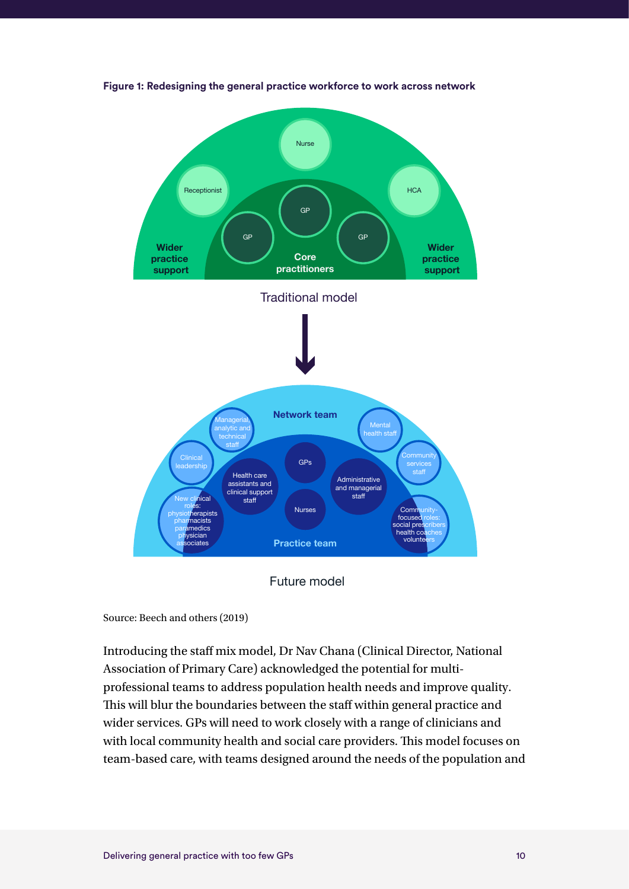

**Figure 1: Redesigning the general practice workforce to work across network**

Future model

Source: Beech and others (2019)

Introducing the staff mix model, Dr Nav Chana (Clinical Director, National Association of Primary Care) acknowledged the potential for multiprofessional teams to address population health needs and improve quality. This will blur the boundaries between the staff within general practice and wider services. GPs will need to work closely with a range of clinicians and with local community health and social care providers. This model focuses on team-based care, with teams designed around the needs of the population and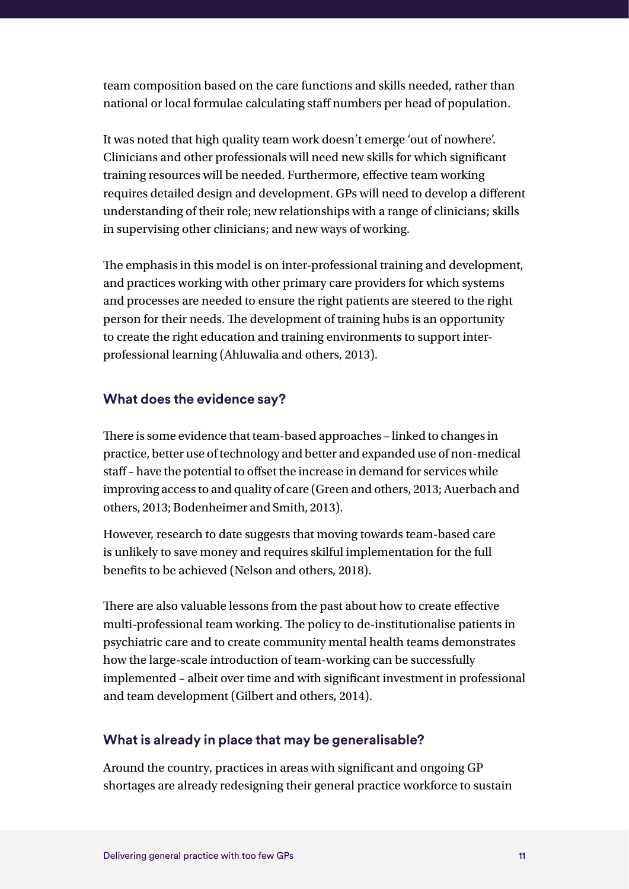team composition based on the care functions and skills needed, rather than national or local formulae calculating staff numbers per head of population.

It was noted that high quality team work doesn't emerge 'out of nowhere'. Clinicians and other professionals will need new skills for which significant training resources will be needed. Furthermore, effective team working requires detailed design and development. GPs will need to develop a different understanding of their role; new relationships with a range of clinicians; skills in supervising other clinicians; and new ways of working.

The emphasis in this model is on inter-professional training and development, and practices working with other primary care providers for which systems and processes are needed to ensure the right patients are steered to the right person for their needs. The development of training hubs is an opportunity to create the right education and training environments to support interprofessional learning (Ahluwalia and others, 2013).

#### **What does the evidence say?**

There is some evidence that team-based approaches – linked to changes in practice, better use of technology and better and expanded use of non-medical staff – have the potential to offset the increase in demand for services while improving access to and quality of care (Green and others, 2013; Auerbach and others, 2013; Bodenheimer and Smith, 2013).

However, research to date suggests that moving towards team-based care is unlikely to save money and requires skilful implementation for the full benefits to be achieved (Nelson and others, 2018).

There are also valuable lessons from the past about how to create effective multi-professional team working. The policy to de-institutionalise patients in psychiatric care and to create community mental health teams demonstrates how the large-scale introduction of team-working can be successfully implemented – albeit over time and with significant investment in professional and team development (Gilbert and others, 2014).

#### **What is already in place that may be generalisable?**

Around the country, practices in areas with significant and ongoing GP shortages are already redesigning their general practice workforce to sustain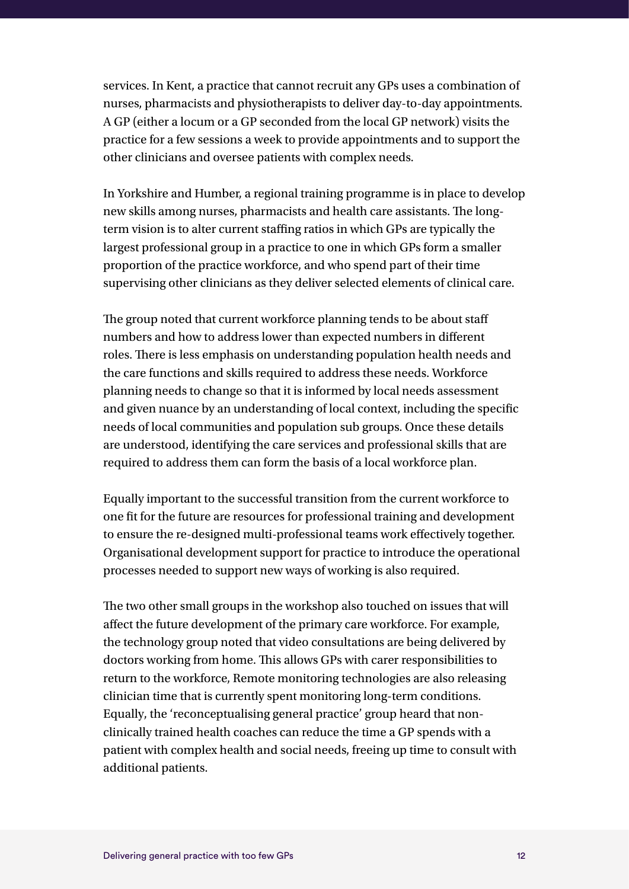services. In Kent, a practice that cannot recruit any GPs uses a combination of nurses, pharmacists and physiotherapists to deliver day-to-day appointments. A GP (either a locum or a GP seconded from the local GP network) visits the practice for a few sessions a week to provide appointments and to support the other clinicians and oversee patients with complex needs.

In Yorkshire and Humber, a regional training programme is in place to develop new skills among nurses, pharmacists and health care assistants. The longterm vision is to alter current staffing ratios in which GPs are typically the largest professional group in a practice to one in which GPs form a smaller proportion of the practice workforce, and who spend part of their time supervising other clinicians as they deliver selected elements of clinical care.

The group noted that current workforce planning tends to be about staff numbers and how to address lower than expected numbers in different roles. There is less emphasis on understanding population health needs and the care functions and skills required to address these needs. Workforce planning needs to change so that it is informed by local needs assessment and given nuance by an understanding of local context, including the specific needs of local communities and population sub groups. Once these details are understood, identifying the care services and professional skills that are required to address them can form the basis of a local workforce plan.

Equally important to the successful transition from the current workforce to one fit for the future are resources for professional training and development to ensure the re-designed multi-professional teams work effectively together. Organisational development support for practice to introduce the operational processes needed to support new ways of working is also required.

The two other small groups in the workshop also touched on issues that will affect the future development of the primary care workforce. For example, the technology group noted that video consultations are being delivered by doctors working from home. This allows GPs with carer responsibilities to return to the workforce, Remote monitoring technologies are also releasing clinician time that is currently spent monitoring long-term conditions. Equally, the 'reconceptualising general practice' group heard that nonclinically trained health coaches can reduce the time a GP spends with a patient with complex health and social needs, freeing up time to consult with additional patients.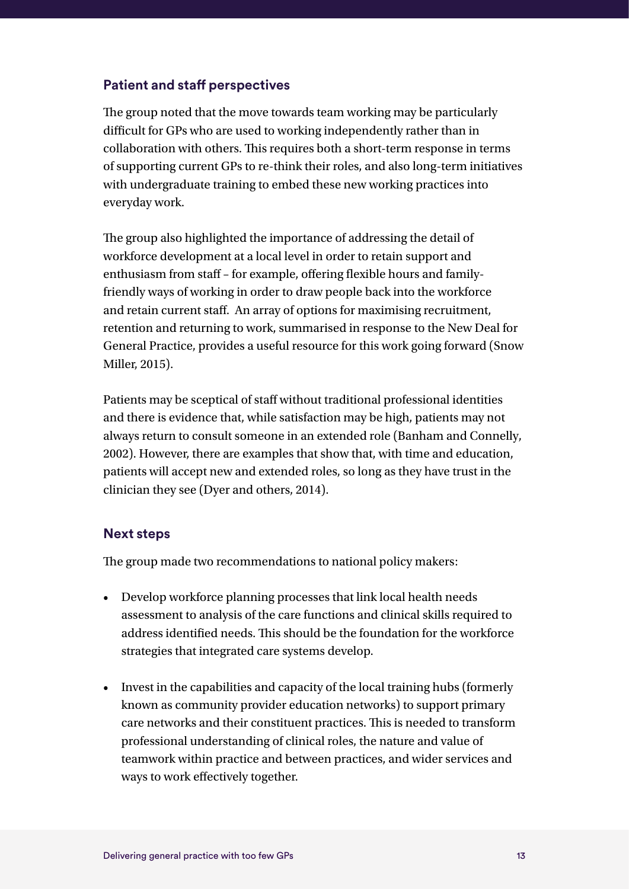#### **Patient and staff perspectives**

The group noted that the move towards team working may be particularly difficult for GPs who are used to working independently rather than in collaboration with others. This requires both a short-term response in terms of supporting current GPs to re-think their roles, and also long-term initiatives with undergraduate training to embed these new working practices into everyday work.

The group also highlighted the importance of addressing the detail of workforce development at a local level in order to retain support and enthusiasm from staff – for example, offering flexible hours and familyfriendly ways of working in order to draw people back into the workforce and retain current staff. An array of options for maximising recruitment, retention and returning to work, summarised in response to the New Deal for General Practice, provides a useful resource for this work going forward (Snow Miller, 2015).

Patients may be sceptical of staff without traditional professional identities and there is evidence that, while satisfaction may be high, patients may not always return to consult someone in an extended role (Banham and Connelly, 2002). However, there are examples that show that, with time and education, patients will accept new and extended roles, so long as they have trust in the clinician they see (Dyer and others, 2014).

#### **Next steps**

The group made two recommendations to national policy makers:

- Develop workforce planning processes that link local health needs assessment to analysis of the care functions and clinical skills required to address identified needs. This should be the foundation for the workforce strategies that integrated care systems develop.
- Invest in the capabilities and capacity of the local training hubs (formerly known as community provider education networks) to support primary care networks and their constituent practices. This is needed to transform professional understanding of clinical roles, the nature and value of teamwork within practice and between practices, and wider services and ways to work effectively together.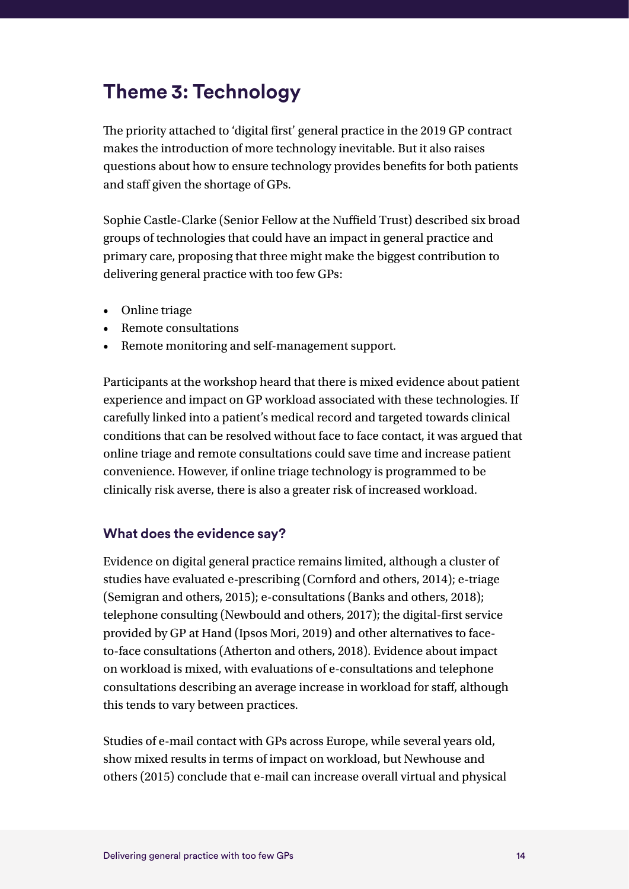### **Theme 3: Technology**

The priority attached to 'digital first' general practice in the 2019 GP contract makes the introduction of more technology inevitable. But it also raises questions about how to ensure technology provides benefits for both patients and staff given the shortage of GPs.

Sophie Castle-Clarke (Senior Fellow at the Nuffield Trust) described six broad groups of technologies that could have an impact in general practice and primary care, proposing that three might make the biggest contribution to delivering general practice with too few GPs:

- Online triage
- Remote consultations
- Remote monitoring and self-management support.

Participants at the workshop heard that there is mixed evidence about patient experience and impact on GP workload associated with these technologies. If carefully linked into a patient's medical record and targeted towards clinical conditions that can be resolved without face to face contact, it was argued that online triage and remote consultations could save time and increase patient convenience. However, if online triage technology is programmed to be clinically risk averse, there is also a greater risk of increased workload.

#### **What does the evidence say?**

Evidence on digital general practice remains limited, although a cluster of studies have evaluated e-prescribing (Cornford and others, 2014); e-triage (Semigran and others, 2015); e-consultations (Banks and others, 2018); telephone consulting (Newbould and others, 2017); the digital-first service provided by GP at Hand (Ipsos Mori, 2019) and other alternatives to faceto-face consultations (Atherton and others, 2018). Evidence about impact on workload is mixed, with evaluations of e-consultations and telephone consultations describing an average increase in workload for staff, although this tends to vary between practices.

Studies of e-mail contact with GPs across Europe, while several years old, show mixed results in terms of impact on workload, but Newhouse and others (2015) conclude that e-mail can increase overall virtual and physical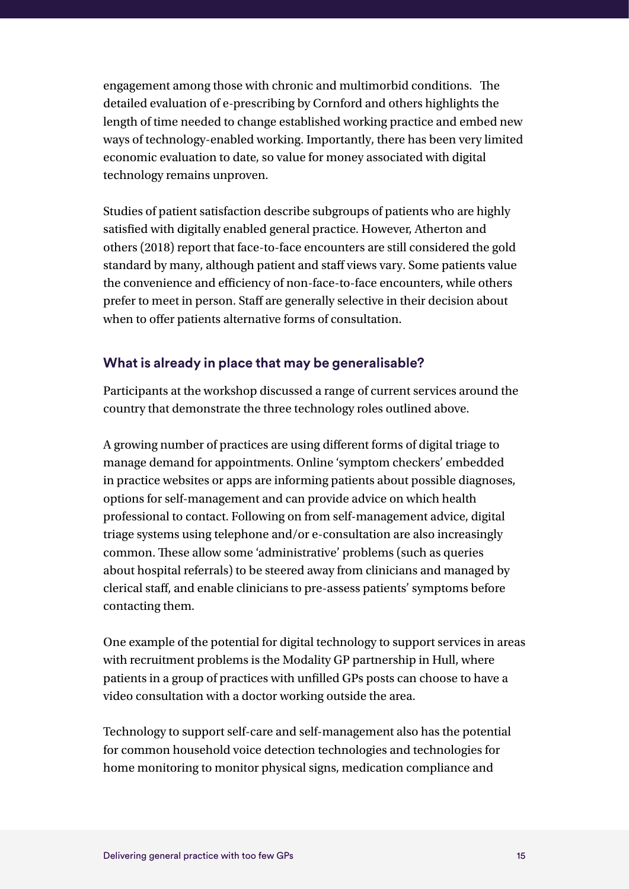engagement among those with chronic and multimorbid conditions. The detailed evaluation of e-prescribing by Cornford and others highlights the length of time needed to change established working practice and embed new ways of technology-enabled working. Importantly, there has been very limited economic evaluation to date, so value for money associated with digital technology remains unproven.

Studies of patient satisfaction describe subgroups of patients who are highly satisfied with digitally enabled general practice. However, Atherton and others (2018) report that face-to-face encounters are still considered the gold standard by many, although patient and staff views vary. Some patients value the convenience and efficiency of non-face-to-face encounters, while others prefer to meet in person. Staff are generally selective in their decision about when to offer patients alternative forms of consultation.

#### **What is already in place that may be generalisable?**

Participants at the workshop discussed a range of current services around the country that demonstrate the three technology roles outlined above.

A growing number of practices are using different forms of digital triage to manage demand for appointments. Online 'symptom checkers' embedded in practice websites or apps are informing patients about possible diagnoses, options for self-management and can provide advice on which health professional to contact. Following on from self-management advice, digital triage systems using telephone and/or e-consultation are also increasingly common. These allow some 'administrative' problems (such as queries about hospital referrals) to be steered away from clinicians and managed by clerical staff, and enable clinicians to pre-assess patients' symptoms before contacting them.

One example of the potential for digital technology to support services in areas with recruitment problems is the Modality GP partnership in Hull, where patients in a group of practices with unfilled GPs posts can choose to have a video consultation with a doctor working outside the area.

Technology to support self-care and self-management also has the potential for common household voice detection technologies and technologies for home monitoring to monitor physical signs, medication compliance and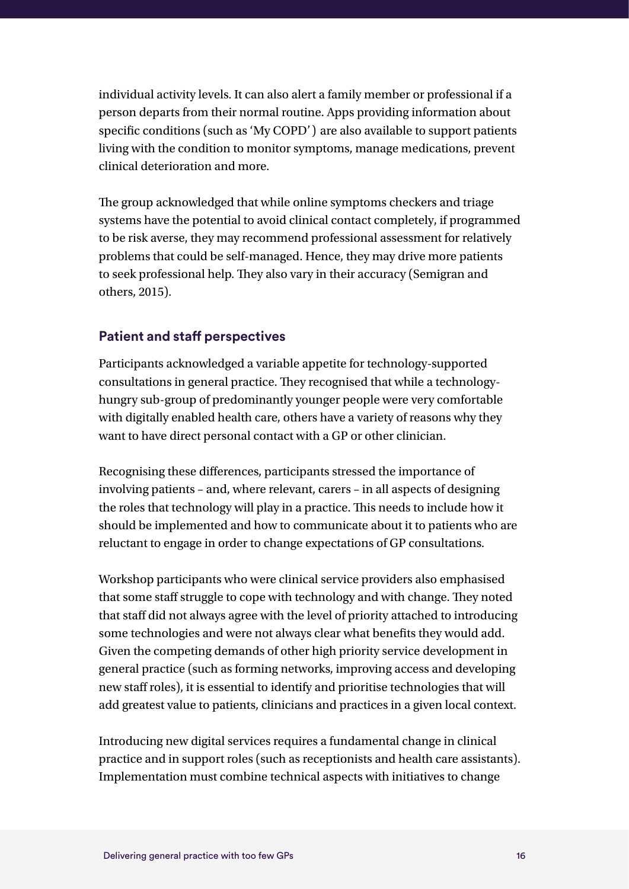individual activity levels. It can also alert a family member or professional if a person departs from their normal routine. Apps providing information about specific conditions (such as 'My COPD') are also available to support patients living with the condition to monitor symptoms, manage medications, prevent clinical deterioration and more.

The group acknowledged that while online symptoms checkers and triage systems have the potential to avoid clinical contact completely, if programmed to be risk averse, they may recommend professional assessment for relatively problems that could be self-managed. Hence, they may drive more patients to seek professional help. They also vary in their accuracy (Semigran and others, 2015).

#### **Patient and staff perspectives**

Participants acknowledged a variable appetite for technology-supported consultations in general practice. They recognised that while a technologyhungry sub-group of predominantly younger people were very comfortable with digitally enabled health care, others have a variety of reasons why they want to have direct personal contact with a GP or other clinician.

Recognising these differences, participants stressed the importance of involving patients – and, where relevant, carers – in all aspects of designing the roles that technology will play in a practice. This needs to include how it should be implemented and how to communicate about it to patients who are reluctant to engage in order to change expectations of GP consultations.

Workshop participants who were clinical service providers also emphasised that some staff struggle to cope with technology and with change. They noted that staff did not always agree with the level of priority attached to introducing some technologies and were not always clear what benefits they would add. Given the competing demands of other high priority service development in general practice (such as forming networks, improving access and developing new staff roles), it is essential to identify and prioritise technologies that will add greatest value to patients, clinicians and practices in a given local context.

Introducing new digital services requires a fundamental change in clinical practice and in support roles (such as receptionists and health care assistants). Implementation must combine technical aspects with initiatives to change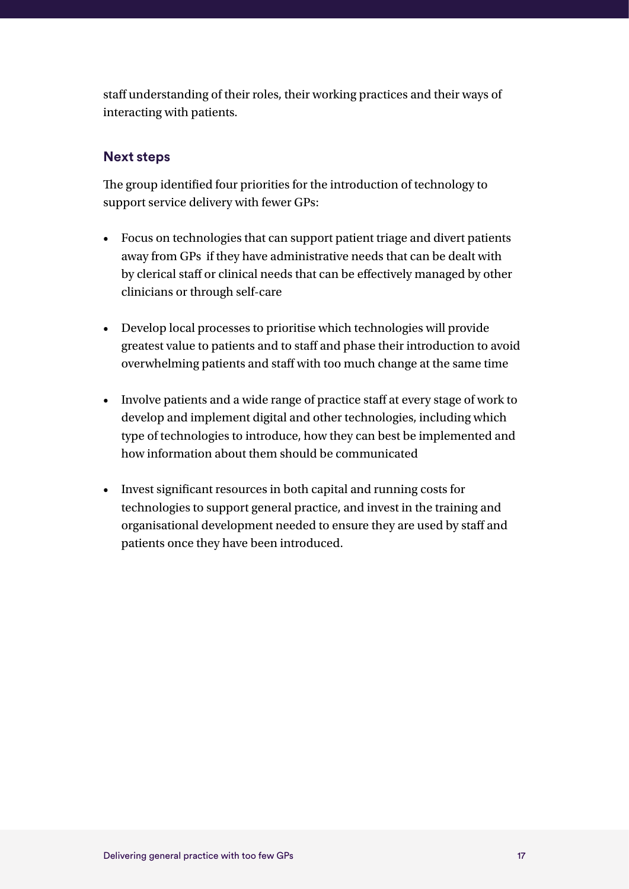staff understanding of their roles, their working practices and their ways of interacting with patients.

#### **Next steps**

The group identified four priorities for the introduction of technology to support service delivery with fewer GPs:

- Focus on technologies that can support patient triage and divert patients away from GPs if they have administrative needs that can be dealt with by clerical staff or clinical needs that can be effectively managed by other clinicians or through self-care
- Develop local processes to prioritise which technologies will provide greatest value to patients and to staff and phase their introduction to avoid overwhelming patients and staff with too much change at the same time
- Involve patients and a wide range of practice staff at every stage of work to develop and implement digital and other technologies, including which type of technologies to introduce, how they can best be implemented and how information about them should be communicated
- Invest significant resources in both capital and running costs for technologies to support general practice, and invest in the training and organisational development needed to ensure they are used by staff and patients once they have been introduced.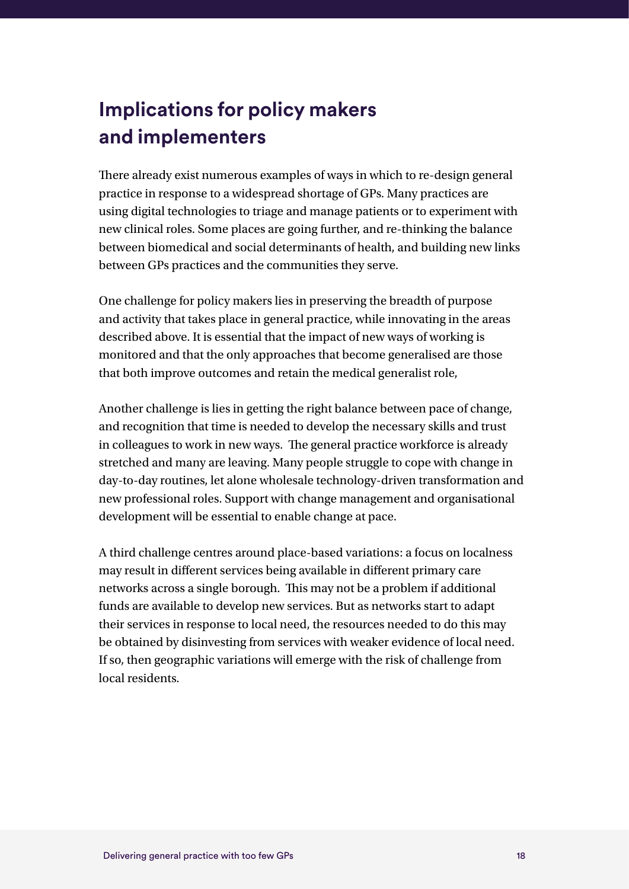## **Implications for policy makers and implementers**

There already exist numerous examples of ways in which to re-design general practice in response to a widespread shortage of GPs. Many practices are using digital technologies to triage and manage patients or to experiment with new clinical roles. Some places are going further, and re-thinking the balance between biomedical and social determinants of health, and building new links between GPs practices and the communities they serve.

One challenge for policy makers lies in preserving the breadth of purpose and activity that takes place in general practice, while innovating in the areas described above. It is essential that the impact of new ways of working is monitored and that the only approaches that become generalised are those that both improve outcomes and retain the medical generalist role,

Another challenge is lies in getting the right balance between pace of change, and recognition that time is needed to develop the necessary skills and trust in colleagues to work in new ways. The general practice workforce is already stretched and many are leaving. Many people struggle to cope with change in day-to-day routines, let alone wholesale technology-driven transformation and new professional roles. Support with change management and organisational development will be essential to enable change at pace.

A third challenge centres around place-based variations: a focus on localness may result in different services being available in different primary care networks across a single borough. This may not be a problem if additional funds are available to develop new services. But as networks start to adapt their services in response to local need, the resources needed to do this may be obtained by disinvesting from services with weaker evidence of local need. If so, then geographic variations will emerge with the risk of challenge from local residents.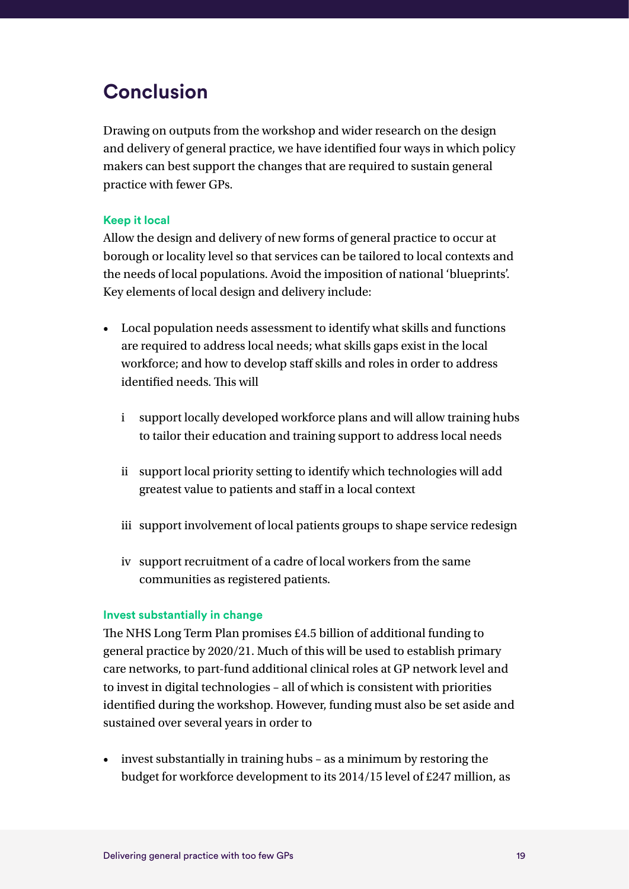### **Conclusion**

Drawing on outputs from the workshop and wider research on the design and delivery of general practice, we have identified four ways in which policy makers can best support the changes that are required to sustain general practice with fewer GPs.

#### **Keep it local**

Allow the design and delivery of new forms of general practice to occur at borough or locality level so that services can be tailored to local contexts and the needs of local populations. Avoid the imposition of national 'blueprints'. Key elements of local design and delivery include:

- Local population needs assessment to identify what skills and functions are required to address local needs; what skills gaps exist in the local workforce; and how to develop staff skills and roles in order to address identified needs. This will
	- i support locally developed workforce plans and will allow training hubs to tailor their education and training support to address local needs
	- ii support local priority setting to identify which technologies will add greatest value to patients and staff in a local context
	- iii support involvement of local patients groups to shape service redesign
	- iv support recruitment of a cadre of local workers from the same communities as registered patients.

#### **Invest substantially in change**

The NHS Long Term Plan promises £4.5 billion of additional funding to general practice by 2020/21. Much of this will be used to establish primary care networks, to part-fund additional clinical roles at GP network level and to invest in digital technologies – all of which is consistent with priorities identified during the workshop. However, funding must also be set aside and sustained over several years in order to

• invest substantially in training hubs – as a minimum by restoring the budget for workforce development to its 2014/15 level of £247 million, as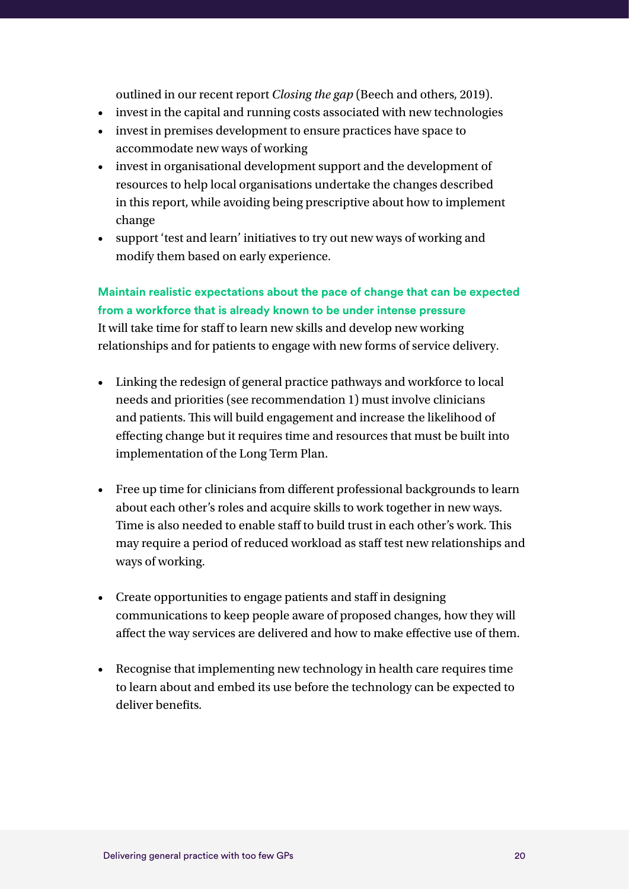outlined in our recent report *Closing the gap* (Beech and others, 2019).

- invest in the capital and running costs associated with new technologies
- invest in premises development to ensure practices have space to accommodate new ways of working
- invest in organisational development support and the development of resources to help local organisations undertake the changes described in this report, while avoiding being prescriptive about how to implement change
- support 'test and learn' initiatives to try out new ways of working and modify them based on early experience.

#### **Maintain realistic expectations about the pace of change that can be expected from a workforce that is already known to be under intense pressure**

It will take time for staff to learn new skills and develop new working relationships and for patients to engage with new forms of service delivery.

- Linking the redesign of general practice pathways and workforce to local needs and priorities (see recommendation 1) must involve clinicians and patients. This will build engagement and increase the likelihood of effecting change but it requires time and resources that must be built into implementation of the Long Term Plan.
- Free up time for clinicians from different professional backgrounds to learn about each other's roles and acquire skills to work together in new ways. Time is also needed to enable staff to build trust in each other's work. This may require a period of reduced workload as staff test new relationships and ways of working.
- Create opportunities to engage patients and staff in designing communications to keep people aware of proposed changes, how they will affect the way services are delivered and how to make effective use of them.
- Recognise that implementing new technology in health care requires time to learn about and embed its use before the technology can be expected to deliver benefits.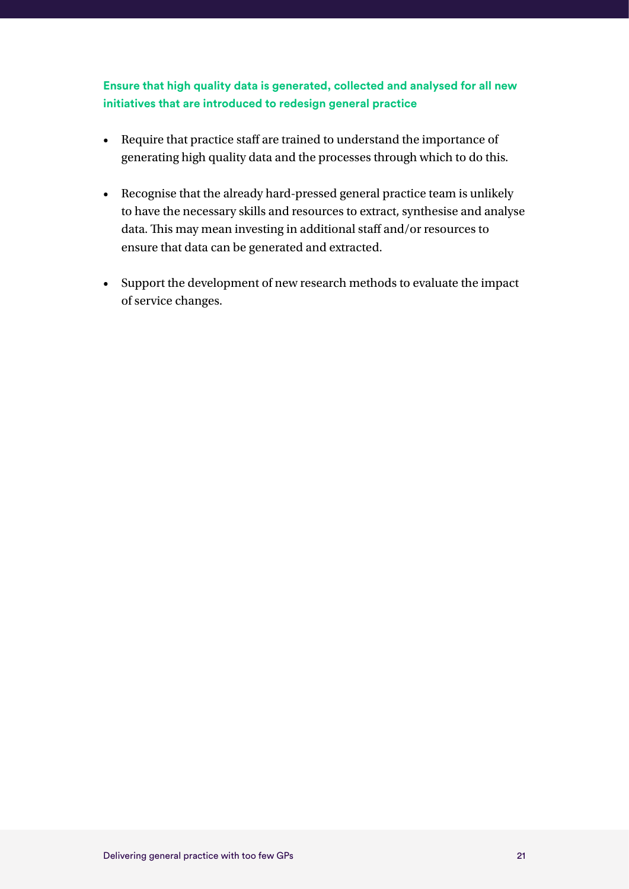#### **Ensure that high quality data is generated, collected and analysed for all new initiatives that are introduced to redesign general practice**

- Require that practice staff are trained to understand the importance of generating high quality data and the processes through which to do this.
- Recognise that the already hard-pressed general practice team is unlikely to have the necessary skills and resources to extract, synthesise and analyse data. This may mean investing in additional staff and/or resources to ensure that data can be generated and extracted.
- Support the development of new research methods to evaluate the impact of service changes.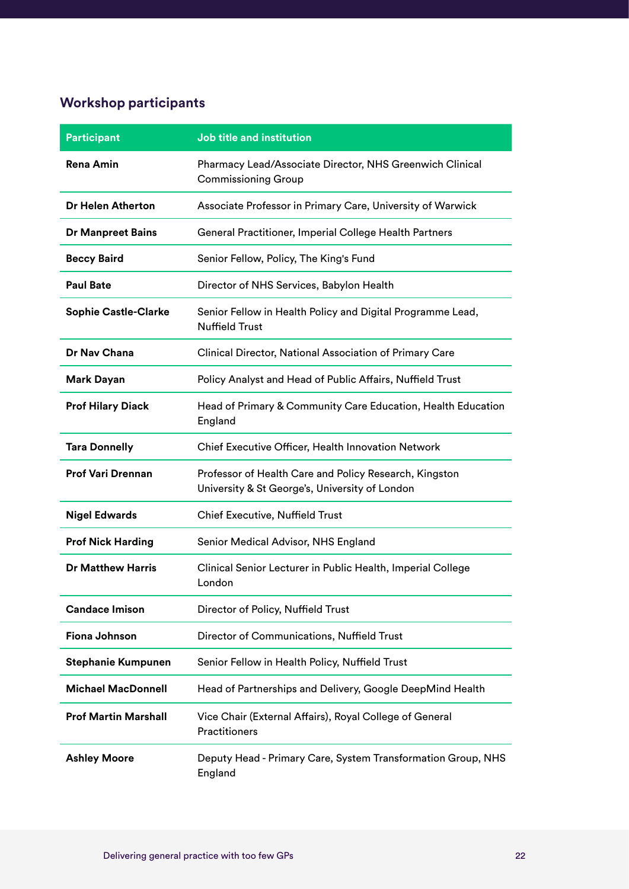### **Workshop participants**

| <b>Participant</b>          | <b>Job title and institution</b>                                                                         |
|-----------------------------|----------------------------------------------------------------------------------------------------------|
| <b>Rena Amin</b>            | Pharmacy Lead/Associate Director, NHS Greenwich Clinical<br><b>Commissioning Group</b>                   |
| Dr Helen Atherton           | Associate Professor in Primary Care, University of Warwick                                               |
| <b>Dr Manpreet Bains</b>    | General Practitioner, Imperial College Health Partners                                                   |
| <b>Beccy Baird</b>          | Senior Fellow, Policy, The King's Fund                                                                   |
| <b>Paul Bate</b>            | Director of NHS Services, Babylon Health                                                                 |
| <b>Sophie Castle-Clarke</b> | Senior Fellow in Health Policy and Digital Programme Lead,<br><b>Nuffield Trust</b>                      |
| <b>Dr Nav Chana</b>         | Clinical Director, National Association of Primary Care                                                  |
| <b>Mark Dayan</b>           | Policy Analyst and Head of Public Affairs, Nuffield Trust                                                |
| <b>Prof Hilary Diack</b>    | Head of Primary & Community Care Education, Health Education<br>England                                  |
| <b>Tara Donnelly</b>        | Chief Executive Officer, Health Innovation Network                                                       |
| <b>Prof Vari Drennan</b>    | Professor of Health Care and Policy Research, Kingston<br>University & St George's, University of London |
| <b>Nigel Edwards</b>        | Chief Executive, Nuffield Trust                                                                          |
| <b>Prof Nick Harding</b>    | Senior Medical Advisor, NHS England                                                                      |
| <b>Dr Matthew Harris</b>    | Clinical Senior Lecturer in Public Health, Imperial College<br>London                                    |
| <b>Candace Imison</b>       | Director of Policy, Nuffield Trust                                                                       |
| Fiona Johnson               | Director of Communications, Nuffield Trust                                                               |
| <b>Stephanie Kumpunen</b>   | Senior Fellow in Health Policy, Nuffield Trust                                                           |
| <b>Michael MacDonnell</b>   | Head of Partnerships and Delivery, Google DeepMind Health                                                |
| <b>Prof Martin Marshall</b> | Vice Chair (External Affairs), Royal College of General<br>Practitioners                                 |
| <b>Ashley Moore</b>         | Deputy Head - Primary Care, System Transformation Group, NHS<br>England                                  |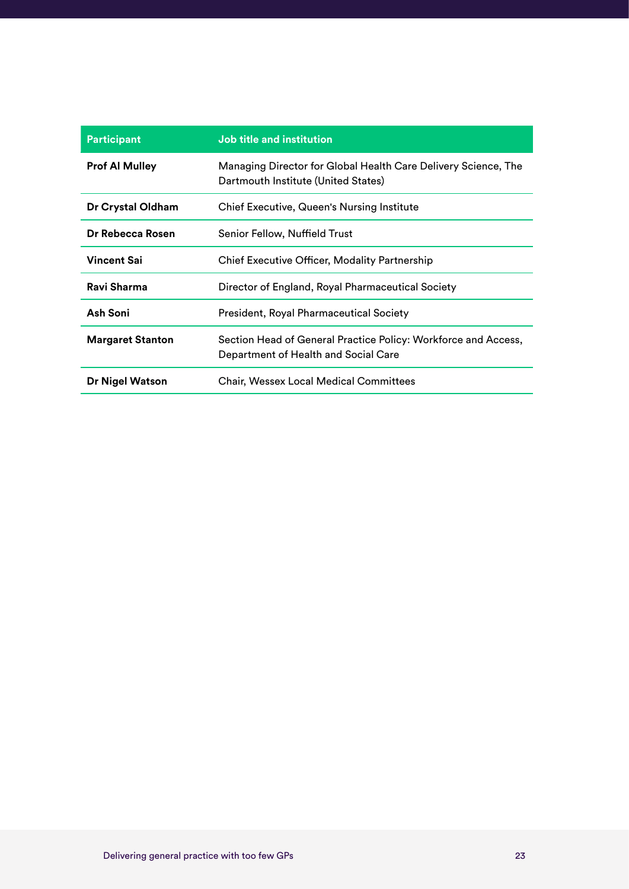| <b>Participant</b>      | Job title and institution                                                                              |
|-------------------------|--------------------------------------------------------------------------------------------------------|
| <b>Prof Al Mulley</b>   | Managing Director for Global Health Care Delivery Science, The<br>Dartmouth Institute (United States)  |
| Dr Crystal Oldham       | Chief Executive, Queen's Nursing Institute                                                             |
| Dr Rebecca Rosen        | Senior Fellow, Nuffield Trust                                                                          |
| <b>Vincent Sai</b>      | Chief Executive Officer, Modality Partnership                                                          |
| Ravi Sharma             | Director of England, Royal Pharmaceutical Society                                                      |
| Ash Soni                | President, Royal Pharmaceutical Society                                                                |
| <b>Margaret Stanton</b> | Section Head of General Practice Policy: Workforce and Access,<br>Department of Health and Social Care |
| Dr Nigel Watson         | <b>Chair, Wessex Local Medical Committees</b>                                                          |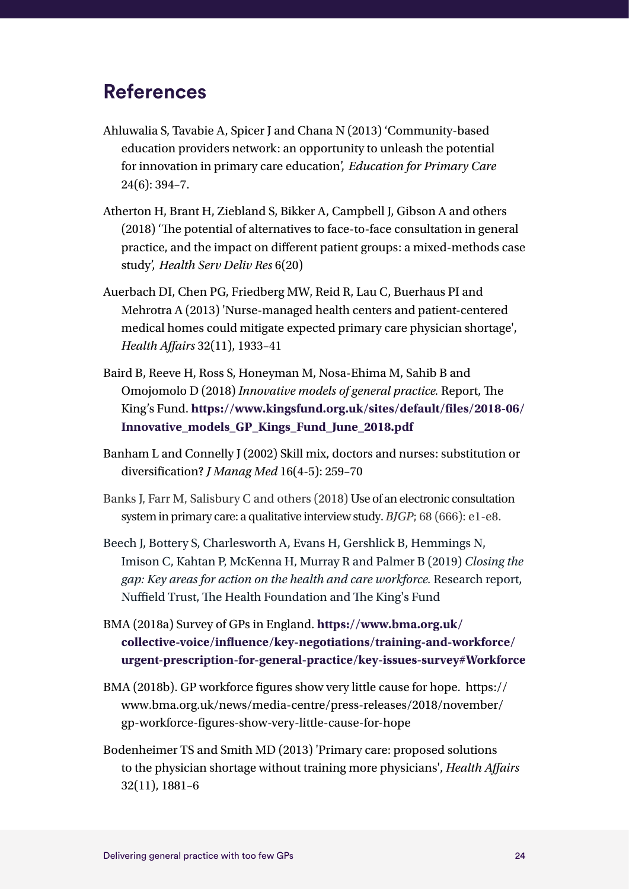### **References**

- [Ahluwalia S,](https://www.ncbi.nlm.nih.gov/pubmed/?term=Ahluwalia S%5BAuthor%5D&cauthor=true&cauthor_uid=24196593) [Tavabie A](https://www.ncbi.nlm.nih.gov/pubmed/?term=Tavabie A%5BAuthor%5D&cauthor=true&cauthor_uid=24196593), [Spicer J](https://www.ncbi.nlm.nih.gov/pubmed/?term=Spicer J%5BAuthor%5D&cauthor=true&cauthor_uid=24196593) and [Chana N](https://www.ncbi.nlm.nih.gov/pubmed/?term=Chana N%5BAuthor%5D&cauthor=true&cauthor_uid=24196593) (2013) 'Community-based education providers network: an opportunity to unleash the potential for innovation in primary care education', *Education for Primary Care* 24(6): 394–7.
- Atherton H, Brant H, Ziebland S, Bikker A, Campbell J, Gibson A and others (2018) 'The potential of alternatives to face-to-face consultation in general practice, and the impact on different patient groups: a mixed-methods case study', *Health Serv Deliv Res* 6(20)
- Auerbach DI, Chen PG, Friedberg MW, Reid R, Lau C, Buerhaus PI and Mehrotra A (2013) 'Nurse-managed health centers and patient-centered medical homes could mitigate expected primary care physician shortage', *Health Affairs* 32(11), 1933–41
- Baird B, Reeve H, Ross S, Honeyman M, Nosa-Ehima M, Sahib B and Omojomolo D (2018) *Innovative models of general practice.* Report, The King's Fund. **[https://www.kingsfund.org.uk/sites/default/files/2018-06/](https://www.kingsfund.org.uk/sites/default/files/2018-06/Innovative_models_GP_Kings_Fund_June_2018.pdf) [Innovative\\_models\\_GP\\_Kings\\_Fund\\_June\\_2018.pdf](https://www.kingsfund.org.uk/sites/default/files/2018-06/Innovative_models_GP_Kings_Fund_June_2018.pdf)**
- [Banham L](https://www.ncbi.nlm.nih.gov/pubmed/?term=Banham L%5BAuthor%5D&cauthor=true&cauthor_uid=12463643) and [Connelly J](https://www.ncbi.nlm.nih.gov/pubmed/?term=Connelly J%5BAuthor%5D&cauthor=true&cauthor_uid=12463643) (2002) Skill mix, doctors and nurses: substitution or diversification? *J Manag Med* 16(4-5): 259–70
- Banks J, Farr M, Salisbury C and others (2018) Use of an electronic consultation system in primary care: a qualitative interview study. *BJGP*; 68 (666): e1-e8.
- Beech J, Bottery S, Charlesworth A, Evans H, Gershlick B, Hemmings N, Imison C, Kahtan P, McKenna H, Murray R and Palmer B (2019) *Closing the gap: Key areas for action on the health and care workforce.* Research report, Nuffield Trust, The Health Foundation and The King's Fund
- BMA (2018a) Survey of GPs in England. **[https://www.bma.org.uk/](https://www.bma.org.uk/collective-voice/influence/key-negotiations/training-and-workforce/urgent-prescription-for-general-practice/key-issues-survey#Workforce) [collective-voice/influence/key-negotiations/training-and-workforce/](https://www.bma.org.uk/collective-voice/influence/key-negotiations/training-and-workforce/urgent-prescription-for-general-practice/key-issues-survey#Workforce) [urgent-prescription-for-general-practice/key-issues-survey#Workforce](https://www.bma.org.uk/collective-voice/influence/key-negotiations/training-and-workforce/urgent-prescription-for-general-practice/key-issues-survey#Workforce)**
- BMA (2018b). GP workforce figures show very little cause for hope. [https://](https://www.bma.org.uk/news/media-centre/press-releases/2018/november/gp-workforce-figures-show-very-little-cause-for-hope) [www.bma.org.uk/news/media-centre/press-releases/2018/november/](https://www.bma.org.uk/news/media-centre/press-releases/2018/november/gp-workforce-figures-show-very-little-cause-for-hope) [gp-workforce-figures-show-very-little-cause-for-hope](https://www.bma.org.uk/news/media-centre/press-releases/2018/november/gp-workforce-figures-show-very-little-cause-for-hope)
- Bodenheimer TS and Smith MD (2013) 'Primary care: proposed solutions to the physician shortage without training more physicians', *Health Affairs* 32(11), 1881–6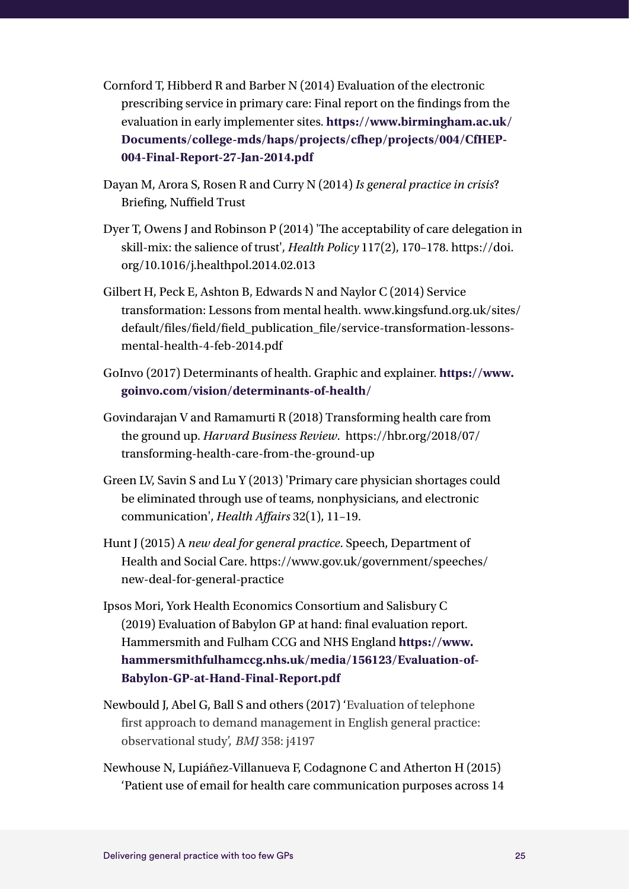- Cornford T, Hibberd R and Barber N (2014) Evaluation of the electronic prescribing service in primary care: Final report on the findings from the evaluation in early implementer sites. **[https://www.birmingham.ac.uk/](https://www.birmingham.ac.uk/Documents/college-mds/haps/projects/cfhep/projects/004/CfHEP-004-Final-Report-27-Jan-2014.pdf) [Documents/college-mds/haps/projects/cfhep/projects/004/CfHEP-](https://www.birmingham.ac.uk/Documents/college-mds/haps/projects/cfhep/projects/004/CfHEP-004-Final-Report-27-Jan-2014.pdf)[004-Final-Report-27-Jan-2014.pdf](https://www.birmingham.ac.uk/Documents/college-mds/haps/projects/cfhep/projects/004/CfHEP-004-Final-Report-27-Jan-2014.pdf)**
- Dayan M, Arora S, Rosen R and Curry N (2014) *Is general practice in crisis*? Briefing, Nuffield Trust
- Dyer T, Owens J and Robinson P (2014) 'The acceptability of care delegation in skill-mix: the salience of trust', *[Health Policy](https://www.sciencedirect.com/science/journal/01688510)* [117\(2](https://www.sciencedirect.com/science/journal/01688510/117/2)), 170–178. [https://doi.](https://doi.org/10.1016/j.healthpol.2014.02.013) [org/10.1016/j.healthpol.2014.02.013](https://doi.org/10.1016/j.healthpol.2014.02.013)
- Gilbert H, Peck E, Ashton B, Edwards N and Naylor C (2014) Service transformation: Lessons from mental health. [www.kingsfund.org.uk/sites/](http://www.kingsfund.org.uk/sites/default/files/field/field_publication_file/service-transformation-lessons-mental-health-4-feb-2014.pdf) [default/files/field/field\\_publication\\_file/service-transformation-lessons](http://www.kingsfund.org.uk/sites/default/files/field/field_publication_file/service-transformation-lessons-mental-health-4-feb-2014.pdf)[mental-health-4-feb-2014.pdf](http://www.kingsfund.org.uk/sites/default/files/field/field_publication_file/service-transformation-lessons-mental-health-4-feb-2014.pdf)
- GoInvo (2017) Determinants of health. Graphic and explainer. **[https://www.](https://www.goinvo.com/vision/determinants-of-health/) [goinvo.com/vision/determinants-of-health/](https://www.goinvo.com/vision/determinants-of-health/)**
- Govindarajan V and Ramamurti R (2018) Transforming health care from the ground up. *Harvard Business Review*. https://hbr.org/2018/07/ transforming-health-care-from-the-ground-up
- Green LV, Savin S and Lu Y (2013) 'Primary care physician shortages could be eliminated through use of teams, nonphysicians, and electronic communication', *Health Affairs* 32(1), 11–19.
- Hunt J (2015) A *new deal for general practice*. Speech, Department of Health and Social Care. [https://www.gov.uk/government/speeches/](https://www.gov.uk/government/speeches/new-deal-for-general-practice) [new-deal-for-general-practice](https://www.gov.uk/government/speeches/new-deal-for-general-practice)
- Ipsos Mori, York Health Economics Consortium and Salisbury C (2019) Evaluation of Babylon GP at hand: final evaluation report. Hammersmith and Fulham CCG and NHS England **[https://www.](https://www.hammersmithfulhamccg.nhs.uk/media/156123/Evaluation-of-Babylon-GP-at-Hand-Final-Report.pdf) [hammersmithfulhamccg.nhs.uk/media/156123/Evaluation-of-](https://www.hammersmithfulhamccg.nhs.uk/media/156123/Evaluation-of-Babylon-GP-at-Hand-Final-Report.pdf)[Babylon-GP-at-Hand-Final-Report.pdf](https://www.hammersmithfulhamccg.nhs.uk/media/156123/Evaluation-of-Babylon-GP-at-Hand-Final-Report.pdf)**
- Newbould J, Abel G, Ball S and others (2017) 'Evaluation of telephone first approach to demand management in English general practice: observational study', *BMJ* 358: j4197
- Newhouse N, Lupiáñez-Villanueva F, Codagnone C and Atherton H (2015) 'Patient use of email for health care communication purposes across 14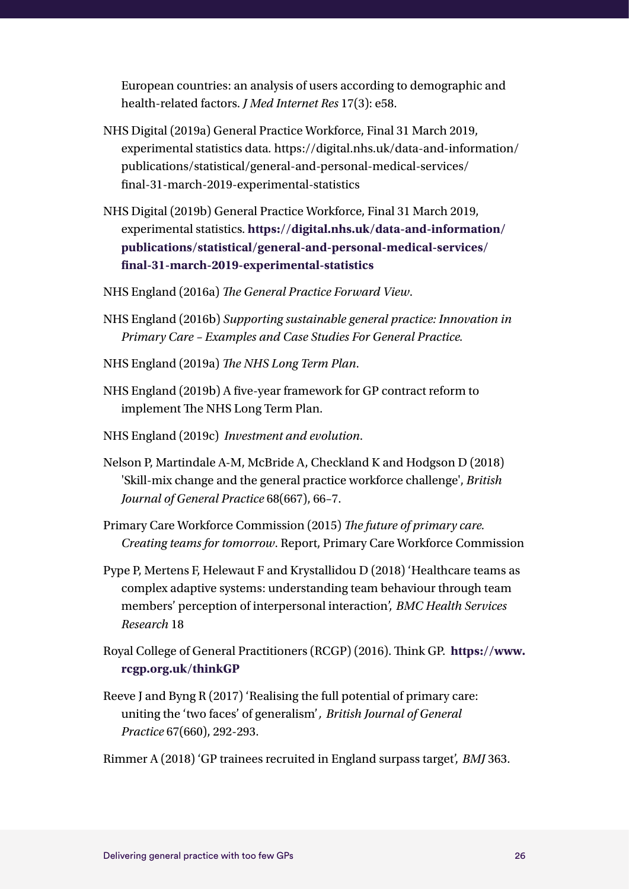European countries: an analysis of users according to demographic and health-related factors. *J Med Internet Res* 17(3): e58.

- NHS Digital (2019a) General Practice Workforce, Final 31 March 2019, experimental statistics data*.* [https://digital.nhs.uk/data-and-information/](https://digital.nhs.uk/data-and-information/publications/statistical/general-and-personal-medical-services/final-31-march-2019-experimental-statistics) [publications/statistical/general-and-personal-medical-services/](https://digital.nhs.uk/data-and-information/publications/statistical/general-and-personal-medical-services/final-31-march-2019-experimental-statistics) [final-31-march-2019-experimental-statistics](https://digital.nhs.uk/data-and-information/publications/statistical/general-and-personal-medical-services/final-31-march-2019-experimental-statistics)
- NHS Digital (2019b) General Practice Workforce, Final 31 March 2019, experimental statistics. **[https://digital.nhs.uk/data-and-information/](https://digital.nhs.uk/data-and-information/publications/statistical/general-and-personal-medical-services/final-31-march-2019-experimental-statistics) [publications/statistical/general-and-personal-medical-services/](https://digital.nhs.uk/data-and-information/publications/statistical/general-and-personal-medical-services/final-31-march-2019-experimental-statistics) [final-31-march-2019-experimental-statistics](https://digital.nhs.uk/data-and-information/publications/statistical/general-and-personal-medical-services/final-31-march-2019-experimental-statistics)**
- NHS England (2016a) *The General Practice Forward View*.
- NHS England (2016b) *Supporting sustainable general practice: Innovation in Primary Care – Examples and Case Studies For General Practice.*
- NHS England (2019a) *The NHS Long Term Plan*.
- NHS England (2019b) A five-year framework for GP contract reform to implement The NHS Long Term Plan.
- NHS England (2019c) *Investment and evolution*.
- Nelson P, Martindale A-M, McBride A, Checkland K and Hodgson D (2018) 'Skill-mix change and the general practice workforce challenge', *British Journal of General Practice* 68(667), 66–7.
- Primary Care Workforce Commission (2015) *The future of primary care. Creating teams for tomorrow*. Report, Primary Care Workforce Commission
- Pype P, Mertens F, Helewaut F and Krystallidou D (2018) 'Healthcare teams as complex adaptive systems: understanding team behaviour through team members' perception of interpersonal interaction', *BMC Health Services Research* 18
- Royal College of General Practitioners (RCGP) (2016). Think GP. **[https://www.](https://www.rcgp.org.uk/thinkGP) [rcgp.org.uk/thinkGP](https://www.rcgp.org.uk/thinkGP)**
- Reeve J and Byng R (2017) 'Realising the full potential of primary care: uniting the 'two faces' of generalism'*, British Journal of General Practice* 67(660), 292-293.

Rimmer A (2018) 'GP trainees recruited in England surpass target', *BMJ* 363.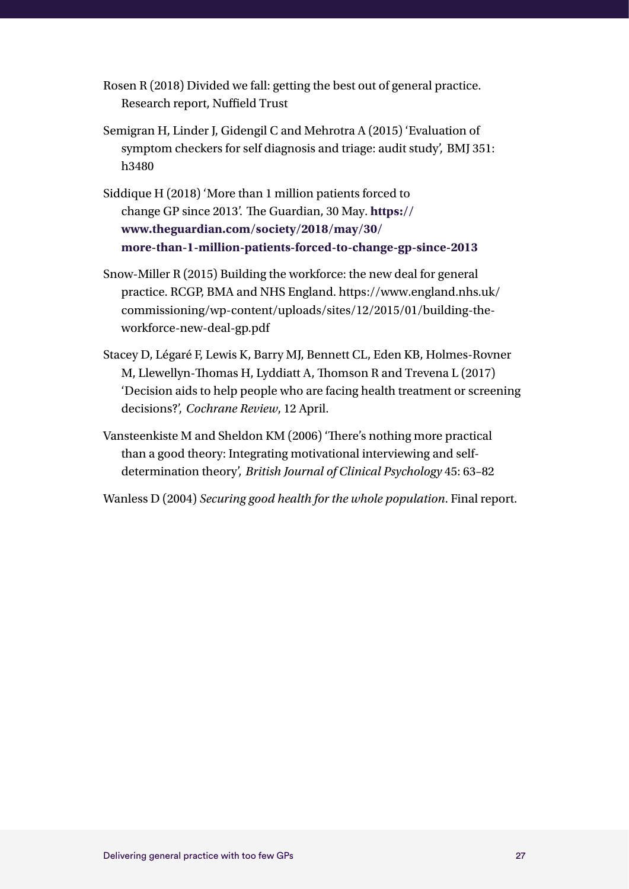Rosen R (2018) Divided we fall: getting the best out of general practice. Research report, Nuffield Trust

- Semigran H, Linder [J,](https://www.bmj.com/content/351/bmj.h3480#aff-2) Gidengil C and Mehrotra A (2015) 'Evaluation of symptom checkers for self diagnosis and triage: audit study', BMJ 351: h3480
- Siddique H (2018) 'More than 1 million patients forced to change GP since 2013'. The Guardian, 30 May. **[https://](https://www.theguardian.com/society/2018/may/30/more-than-1-million-patients-forced-to-change-gp-since-2013) [www.theguardian.com/society/2018/may/30/](https://www.theguardian.com/society/2018/may/30/more-than-1-million-patients-forced-to-change-gp-since-2013) [more-than-1-million-patients-forced-to-change-gp-since-2013](https://www.theguardian.com/society/2018/may/30/more-than-1-million-patients-forced-to-change-gp-since-2013)**
- Snow-Miller R (2015) Building the workforce: the new deal for general practice. RCGP, BMA and NHS England. https://www.england.nhs.uk/ commissioning/wp-content/uploads/sites/12/2015/01/building-theworkforce-new-deal-gp.pdf
- Stacey D, Légaré F, Lewis K, Barry MJ, Bennett CL, Eden KB, Holmes-Rovner M, Llewellyn-Thomas H, Lyddiatt A, Thomson R and Trevena L (2017) 'Decision aids to help people who are facing health treatment or screening decisions?', *Cochrane Review*, 12 April.
- Vansteenkiste M and Sheldon KM (2006) 'There's nothing more practical than a good theory: Integrating motivational interviewing and selfdetermination theory', *British Journal of Clinical Psychology* 45: 63–82

Wanless D (2004) *Securing good health for the whole population*. Final report.